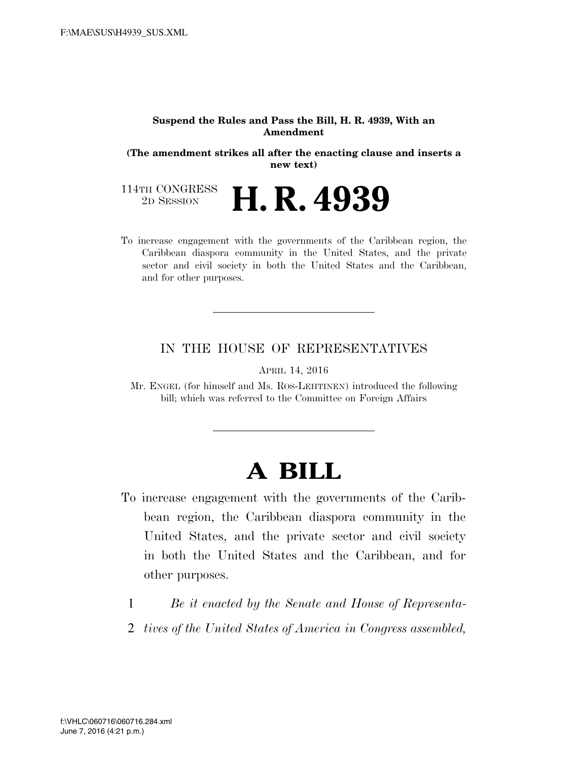#### **Suspend the Rules and Pass the Bill, H. R. 4939, With an Amendment**

**(The amendment strikes all after the enacting clause and inserts a new text)** 

114TH CONGRESS<br>2D SESSION 2D SESSION **H. R. 4939**

To increase engagement with the governments of the Caribbean region, the Caribbean diaspora community in the United States, and the private sector and civil society in both the United States and the Caribbean, and for other purposes.

## IN THE HOUSE OF REPRESENTATIVES

APRIL 14, 2016

Mr. ENGEL (for himself and Ms. ROS-LEHTINEN) introduced the following bill; which was referred to the Committee on Foreign Affairs

# **A BILL**

- To increase engagement with the governments of the Caribbean region, the Caribbean diaspora community in the United States, and the private sector and civil society in both the United States and the Caribbean, and for other purposes.
	- 1 *Be it enacted by the Senate and House of Representa-*
	- 2 *tives of the United States of America in Congress assembled,*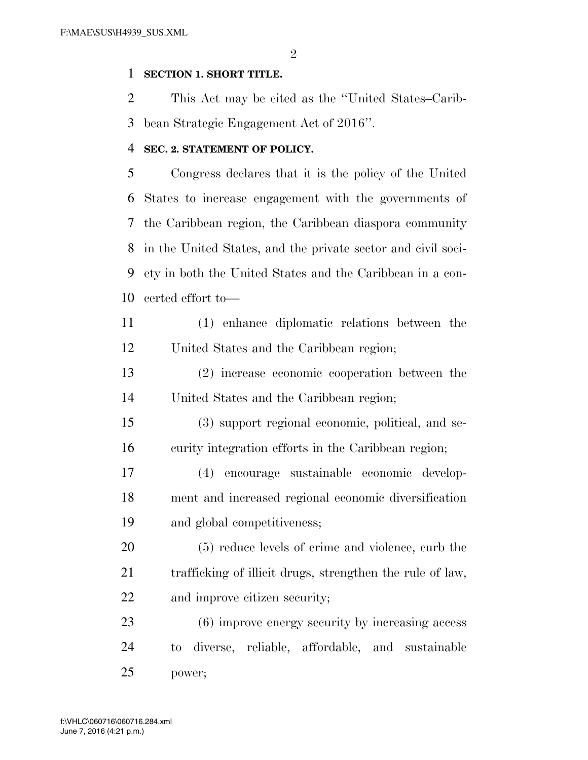$\mathfrak{D}$ 

#### **SECTION 1. SHORT TITLE.**

 This Act may be cited as the ''United States–Carib-bean Strategic Engagement Act of 2016''.

#### **SEC. 2. STATEMENT OF POLICY.**

 Congress declares that it is the policy of the United States to increase engagement with the governments of the Caribbean region, the Caribbean diaspora community in the United States, and the private sector and civil soci- ety in both the United States and the Caribbean in a con-certed effort to—

- (1) enhance diplomatic relations between the United States and the Caribbean region;
- (2) increase economic cooperation between the United States and the Caribbean region;
- (3) support regional economic, political, and se-curity integration efforts in the Caribbean region;
- (4) encourage sustainable economic develop- ment and increased regional economic diversification and global competitiveness;
- (5) reduce levels of crime and violence, curb the trafficking of illicit drugs, strengthen the rule of law, and improve citizen security;

 (6) improve energy security by increasing access to diverse, reliable, affordable, and sustainable power;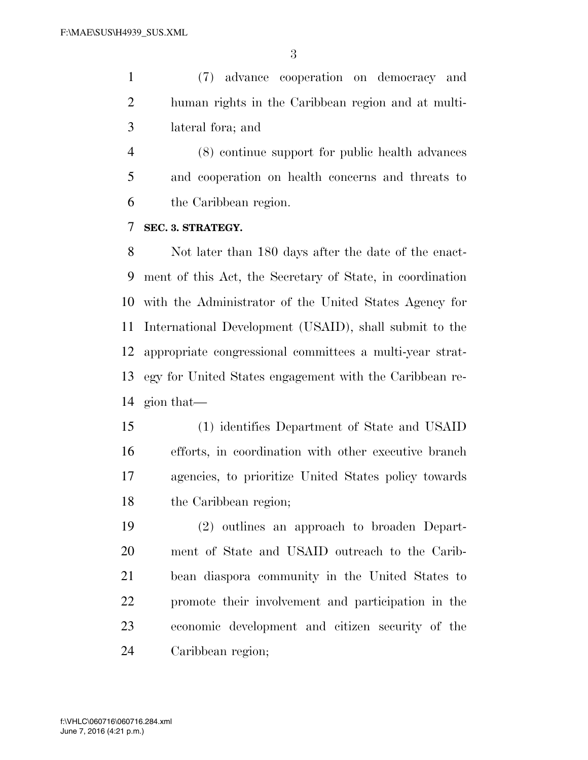(7) advance cooperation on democracy and human rights in the Caribbean region and at multi-lateral fora; and

 (8) continue support for public health advances and cooperation on health concerns and threats to the Caribbean region.

#### **SEC. 3. STRATEGY.**

 Not later than 180 days after the date of the enact- ment of this Act, the Secretary of State, in coordination with the Administrator of the United States Agency for International Development (USAID), shall submit to the appropriate congressional committees a multi-year strat- egy for United States engagement with the Caribbean re-gion that—

 (1) identifies Department of State and USAID efforts, in coordination with other executive branch agencies, to prioritize United States policy towards the Caribbean region;

 (2) outlines an approach to broaden Depart- ment of State and USAID outreach to the Carib- bean diaspora community in the United States to promote their involvement and participation in the economic development and citizen security of the Caribbean region;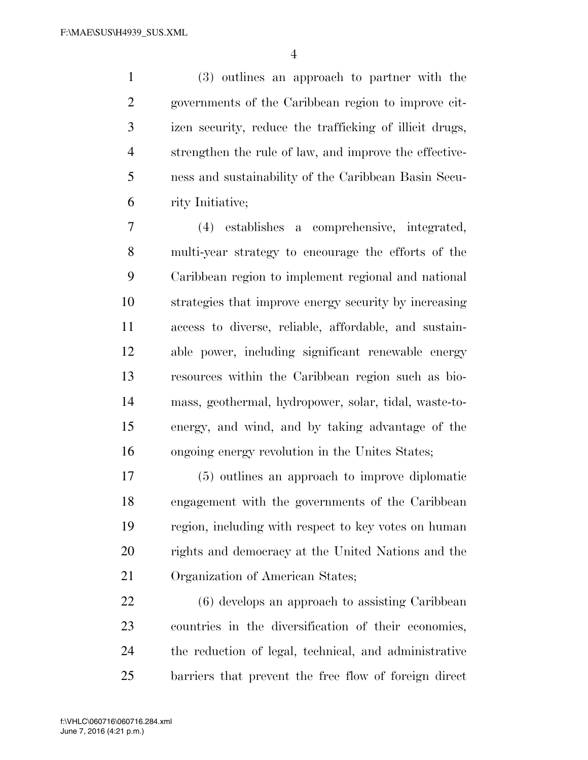(3) outlines an approach to partner with the governments of the Caribbean region to improve cit- izen security, reduce the trafficking of illicit drugs, strengthen the rule of law, and improve the effective- ness and sustainability of the Caribbean Basin Secu-rity Initiative;

 (4) establishes a comprehensive, integrated, multi-year strategy to encourage the efforts of the Caribbean region to implement regional and national strategies that improve energy security by increasing access to diverse, reliable, affordable, and sustain- able power, including significant renewable energy resources within the Caribbean region such as bio- mass, geothermal, hydropower, solar, tidal, waste-to- energy, and wind, and by taking advantage of the ongoing energy revolution in the Unites States;

 (5) outlines an approach to improve diplomatic engagement with the governments of the Caribbean region, including with respect to key votes on human rights and democracy at the United Nations and the Organization of American States;

 (6) develops an approach to assisting Caribbean countries in the diversification of their economies, the reduction of legal, technical, and administrative barriers that prevent the free flow of foreign direct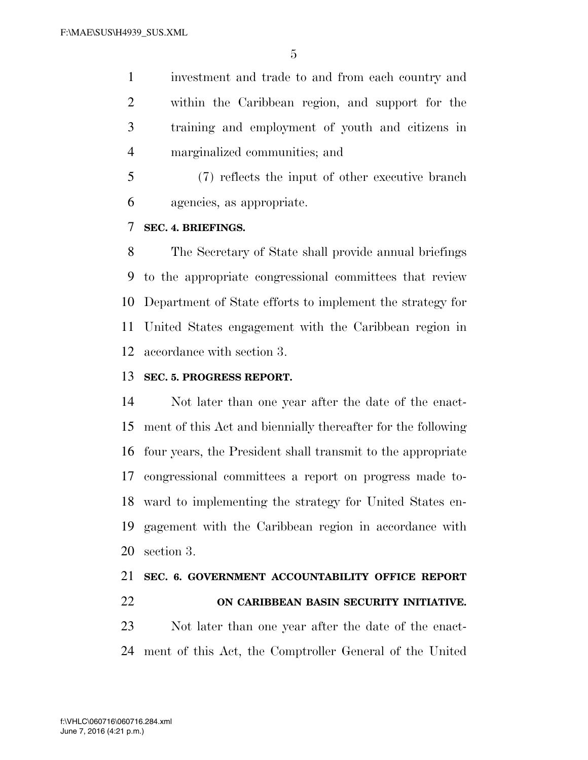investment and trade to and from each country and within the Caribbean region, and support for the training and employment of youth and citizens in marginalized communities; and

 (7) reflects the input of other executive branch agencies, as appropriate.

#### **SEC. 4. BRIEFINGS.**

 The Secretary of State shall provide annual briefings to the appropriate congressional committees that review Department of State efforts to implement the strategy for United States engagement with the Caribbean region in accordance with section 3.

## **SEC. 5. PROGRESS REPORT.**

 Not later than one year after the date of the enact- ment of this Act and biennially thereafter for the following four years, the President shall transmit to the appropriate congressional committees a report on progress made to- ward to implementing the strategy for United States en- gagement with the Caribbean region in accordance with section 3.

# **SEC. 6. GOVERNMENT ACCOUNTABILITY OFFICE REPORT ON CARIBBEAN BASIN SECURITY INITIATIVE.**  Not later than one year after the date of the enact-

ment of this Act, the Comptroller General of the United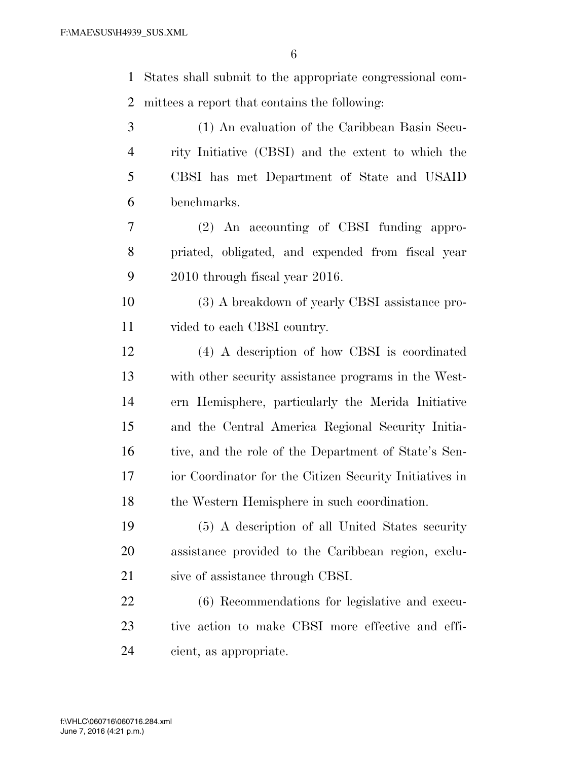States shall submit to the appropriate congressional com- mittees a report that contains the following: (1) An evaluation of the Caribbean Basin Secu- rity Initiative (CBSI) and the extent to which the CBSI has met Department of State and USAID benchmarks. (2) An accounting of CBSI funding appro- priated, obligated, and expended from fiscal year 2010 through fiscal year 2016. (3) A breakdown of yearly CBSI assistance pro- vided to each CBSI country. (4) A description of how CBSI is coordinated with other security assistance programs in the West- ern Hemisphere, particularly the Merida Initiative and the Central America Regional Security Initia-16 tive, and the role of the Department of State's Sen-

 ior Coordinator for the Citizen Security Initiatives in the Western Hemisphere in such coordination.

 (5) A description of all United States security assistance provided to the Caribbean region, exclu-21 sive of assistance through CBSI.

 (6) Recommendations for legislative and execu- tive action to make CBSI more effective and effi-cient, as appropriate.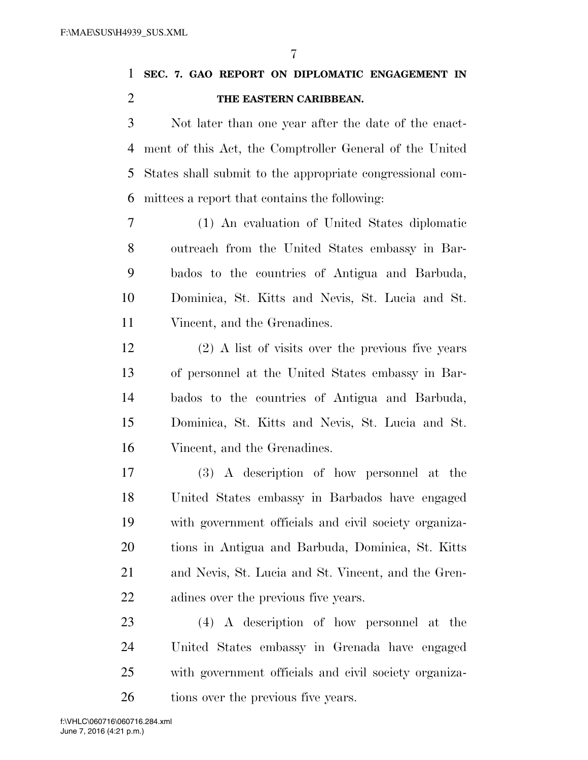**SEC. 7. GAO REPORT ON DIPLOMATIC ENGAGEMENT IN THE EASTERN CARIBBEAN.** 

 Not later than one year after the date of the enact- ment of this Act, the Comptroller General of the United States shall submit to the appropriate congressional com-mittees a report that contains the following:

 (1) An evaluation of United States diplomatic outreach from the United States embassy in Bar- bados to the countries of Antigua and Barbuda, Dominica, St. Kitts and Nevis, St. Lucia and St. Vincent, and the Grenadines.

 (2) A list of visits over the previous five years of personnel at the United States embassy in Bar- bados to the countries of Antigua and Barbuda, Dominica, St. Kitts and Nevis, St. Lucia and St. Vincent, and the Grenadines.

 (3) A description of how personnel at the United States embassy in Barbados have engaged with government officials and civil society organiza- tions in Antigua and Barbuda, Dominica, St. Kitts and Nevis, St. Lucia and St. Vincent, and the Gren-adines over the previous five years.

 (4) A description of how personnel at the United States embassy in Grenada have engaged with government officials and civil society organiza-26 tions over the previous five years.

June 7, 2016 (4:21 p.m.) f:\VHLC\060716\060716.284.xml